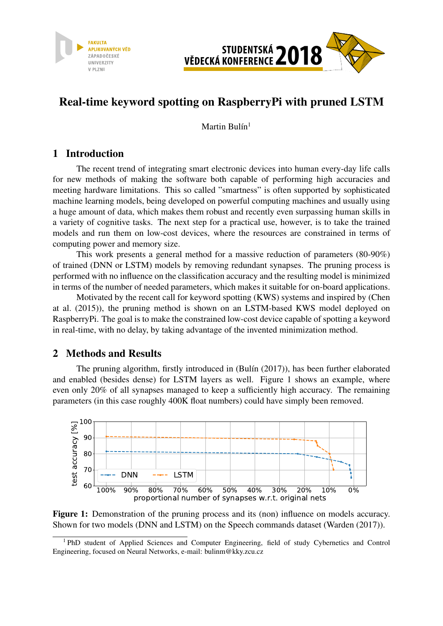



## Real-time keyword spotting on RaspberryPi with pruned LSTM

Martin Bulín $1$ 

## 1 Introduction

The recent trend of integrating smart electronic devices into human every-day life calls for new methods of making the software both capable of performing high accuracies and meeting hardware limitations. This so called "smartness" is often supported by sophisticated machine learning models, being developed on powerful computing machines and usually using a huge amount of data, which makes them robust and recently even surpassing human skills in a variety of cognitive tasks. The next step for a practical use, however, is to take the trained models and run them on low-cost devices, where the resources are constrained in terms of computing power and memory size.

This work presents a general method for a massive reduction of parameters (80-90%) of trained (DNN or LSTM) models by removing redundant synapses. The pruning process is performed with no influence on the classification accuracy and the resulting model is minimized in terms of the number of needed parameters, which makes it suitable for on-board applications.

Motivated by the recent call for keyword spotting (KWS) systems and inspired by (Chen at al. (2015)), the pruning method is shown on an LSTM-based KWS model deployed on RaspberryPi. The goal is to make the constrained low-cost device capable of spotting a keyword in real-time, with no delay, by taking advantage of the invented minimization method.

## 2 Methods and Results

The pruning algorithm, firstly introduced in (Bulín (2017)), has been further elaborated and enabled (besides dense) for LSTM layers as well. Figure 1 shows an example, where even only 20% of all synapses managed to keep a sufficiently high accuracy. The remaining parameters (in this case roughly 400K float numbers) could have simply been removed.



Figure 1: Demonstration of the pruning process and its (non) influence on models accuracy. Shown for two models (DNN and LSTM) on the Speech commands dataset (Warden (2017)).

<sup>&</sup>lt;sup>1</sup> PhD student of Applied Sciences and Computer Engineering, field of study Cybernetics and Control Engineering, focused on Neural Networks, e-mail: bulinm@kky.zcu.cz